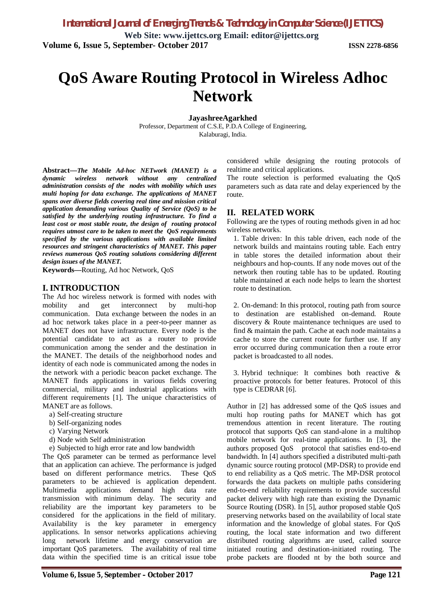# **QoS Aware Routing Protocol in Wireless Adhoc Network**

**JayashreeAgarkhed**

Professor, Department of C.S.E, P.D.A College of Engineering, Kalaburagi, India.

**Abstract—***The Mobile Ad-hoc NETwork (MANET) is a dynamic wireless network without any centralized administration consists of the nodes with mobility which uses multi hoping for data exchange. The applications of MANET spans over diverse fields covering real time and mission critical application demanding various Quality of Service (QoS) to be satisfied by the underlying routing infrastructure. To find a least cost or most stable route, the design of routing protocol requires utmost care to be taken to meet the QoS requirements specified by the various applications with available limited resources and stringent characteristics of MANET. This paper reviews numerous QoS routing solutions considering different design issues of the MANET.*

**Keywords—**Routing, Ad hoc Network, QoS

## **I. INTRODUCTION**

The Ad hoc wireless network is formed with nodes with mobility and get interconnect by multi-hop communication. Data exchange between the nodes in an ad hoc network takes place in a peer-to-peer manner as MANET does not have infrastructure. Every node is the potential candidate to act as a router to provide communication among the sender and the destination in the MANET. The details of the neighborhood nodes and identity of each node is communicated among the nodes in the network with a periodic beacon packet exchange. The MANET finds applications in various fields covering commercial, military and industrial applications with different requirements [1]. The unique characteristics of MANET are as follows.

- a) Self-creating structure
- b) Self-organizing nodes
- c) Varying Network
- d) Node with Self administration
- e) Subjected to high error rate and low bandwidth

The QoS parameter can be termed as performance level that an application can achieve. The performance is judged based on different performance metrics. These QoS parameters to be achieved is application dependent. Multimedia applications demand high data rate transmission with minimum delay. The security and reliability are the important key parameters to be considered for the applications in the field of military. Availability is the key parameter in emergency applications. In sensor networks applications achieving long network lifetime and energy conservation are important QoS parameters. The availabitity of real time data within the specified time is an critical issue tobe considered while designing the routing protocols of realtime and critical applications.

The route selection is performed evaluating the QoS parameters such as data rate and delay experienced by the route.

## **II. RELATED WORK**

Following are the types of routing methods given in ad hoc wireless networks.

1. Table driven: In this table driven, each node of the network builds and maintains routing table. Each entry in table stores the detailed information about their neighbours and hop-counts. If any node moves out of the network then routing table has to be updated. Routing table maintained at each node helps to learn the shortest route to destination.

2. On-demand: In this protocol, routing path from source to destination are established on-demand. Route discovery & Route maintenance techniques are used to find & maintain the path. Cache at each node maintains a cache to store the current route for further use. If any error occurred during communication then a route error packet is broadcasted to all nodes.

3. Hybrid technique: It combines both reactive & proactive protocols for better features. Protocol of this type is CEDRAR [6].

Author in [2] has addressed some of the QoS issues and multi hop routing paths for MANET which has got tremendous attention in recent literature. The routing protocol that supports QoS can stand-alone in a multihop mobile network for real-time applications. In [3], the authors proposed QoS protocol that satisfies end-to-end bandwidth. In [4] authors specified a distributed multi-path dynamic source routing protocol (MP-DSR) to provide end to end reliability as a QoS metric. The MP-DSR protocol forwards the data packets on multiple paths considering end-to-end reliability requirements to provide successful packet delivery with high rate than existing the Dynamic Source Routing (DSR). In [5], author proposed stable QoS preserving networks based on the availability of local state information and the knowledge of global states. For QoS routing, the local state information and two different distributed routing algorithms are used, called source initiated routing and destination-initiated routing. The probe packets are flooded nt by the both source and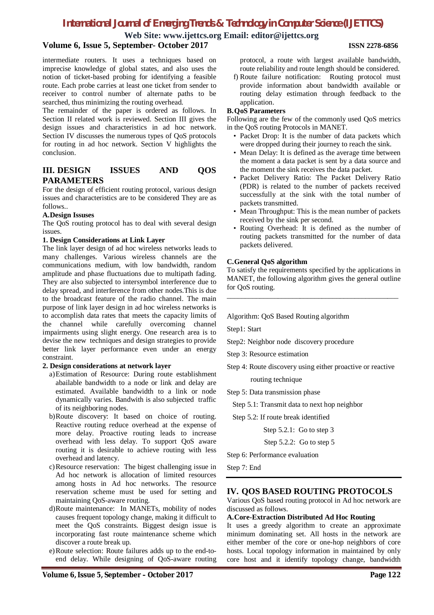# *International Journal of Emerging Trends & Technology in Computer Science (IJETTCS)*

**Web Site: www.ijettcs.org Email: editor@ijettcs.org**

## **Volume 6, Issue 5, September- October 2017 ISSN 2278-6856**

intermediate routers. It uses a techniques based on imprecise knowledge of global states, and also uses the notion of ticket-based probing for identifying a feasible route. Each probe carries at least one ticket from sender to receiver to control number of alternate paths to be searched, thus minimizing the routing overhead.

The remainder of the paper is ordered as follows. In Section II related work is reviewed. Section III gives the design issues and characteristics in ad hoc network. Section IV discusses the numerous types of QoS protocols for routing in ad hoc network. Section V highlights the conclusion.

## **III. DESIGN ISSUES AND QOS PARAMETERS**

For the design of efficient routing protocol, various design issues and characteristics are to be considered They are as follows..

#### **A.Design Issuses**

The QoS routing protocol has to deal with several design issues.

#### **1. Design Considerations at Link Layer**

The link layer design of ad hoc wireless networks leads to many challenges. Various wireless channels are the communications medium, with low bandwidth, random amplitude and phase fluctuations due to multipath fading. They are also subjected to intersymbol interference due to delay spread, and interference from other nodes.This is due to the broadcast feature of the radio channel. The main purpose of link layer design in ad hoc wireless networks is to accomplish data rates that meets the capacity limits of the channel while carefully overcoming channel impairments using slight energy. One research area is to devise the new techniques and design strategies to provide better link layer performance even under an energy constraint.

#### **2. Design considerations at network layer**

- a)Estimation of Resource: During route establishment abailable bandwidth to a node or link and delay are estimated. Available bandwidth to a link or node dynamically varies. Bandwith is also subjected traffic of its neighboring nodes.
- b)Route discovery: It based on choice of routing. Reactive routing reduce overhead at the expense of more delay. Proactive routing leads to increase overhead with less delay. To support QoS aware routing it is desirable to achieve routing with less overhead and latency.
- c)Resource reservation: The bigest challenging issue in Ad hoc network is allocation of limited resources among hosts in Ad hoc networks. The resource reservation scheme must be used for setting and maintaining QoS-aware routing.
- d)Route maintenance: In MANETs, mobility of nodes causes frequent topology change, making it difficult to meet the QoS constraints. Biggest design issue is incorporating fast route maintenance scheme which discover a route break up.
- e)Route selection: Route failures adds up to the end-toend delay. While designing of QoS-aware routing

protocol, a route with largest available bandwidth, route reliability and route length should be considered.

f) Route failure notification: Routing protocol must provide information about bandwidth available or routing delay estimation through feedback to the application.

#### **B.QoS Parameters**

Following are the few of the commonly used QoS metrics in the QoS routing Protocols in MANET.

- Packet Drop: It is the number of data packets which were dropped during their journey to reach the sink.
- Mean Delay: It is defined as the average time between the moment a data packet is sent by a data source and the moment the sink receives the data packet.
- Packet Delivery Ratio: The Packet Delivery Ratio (PDR) is related to the number of packets received successfully at the sink with the total number of packets transmitted.
- Mean Throughput: This is the mean number of packets received by the sink per second.
- Routing Overhead: It is defined as the number of routing packets transmitted for the number of data packets delivered.

#### **C.General QoS algorithm**

To satisfy the requirements specified by the applications in MANET, the following algorithm gives the general outline for QoS routing.

\_\_\_\_\_\_\_\_\_\_\_\_\_\_\_\_\_\_\_\_\_\_\_\_\_\_\_\_\_\_\_\_\_\_\_\_\_\_\_\_\_\_\_\_\_\_\_

### Algorithm: QoS Based Routing algorithm

Step1: Start

- Step2: Neighbor node discovery procedure
- Step 3: Resource estimation
- Step 4: Route discovery using either proactive or reactive

routing technique

- Step 5: Data transmission phase
	- Step 5.1: Transmit data to next hop neighbor

Step 5.2: If route break identified

Step 5.2.1: Go to step 3

Step 5.2.2: Go to step 5

Step 6: Performance evaluation

Step 7: End

## **IV. QOS BASED ROUTING PROTOCOLS**

Various QoS based routing protocol in Ad hoc network are discussed as follows.

#### **A.Core-Extraction Distributed Ad Hoc Routing**

It uses a greedy algorithm to create an approximate minimum dominating set. All hosts in the network are either member of the core or one-hop neighbors of core hosts. Local topology information in maintained by only core host and it identify topology change, bandwidth